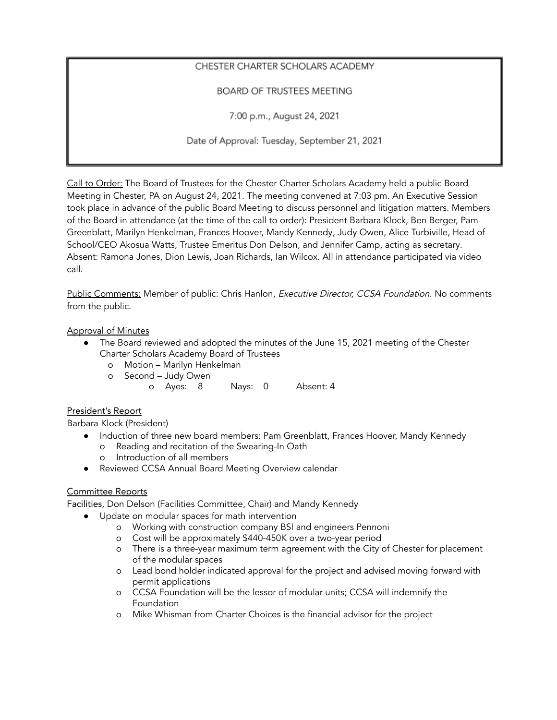# CHESTER CHARTER SCHOLARS ACADEMY

# BOARD OF TRUSTEES MEETING

7:00 p.m., August 24, 2021

Date of Approval: Tuesday, September 21, 2021

Call to Order: The Board of Trustees for the Chester Charter Scholars Academy held a public Board Meeting in Chester, PA on August 24, 2021. The meeting convened at 7:03 pm. An Executive Session took place in advance of the public Board Meeting to discuss personnel and litigation matters. Members of the Board in attendance (at the time of the call to order): President Barbara Klock, Ben Berger, Pam Greenblatt, Marilyn Henkelman, Frances Hoover, Mandy Kennedy, Judy Owen, Alice Turbiville, Head of School/CEO Akosua Watts, Trustee Emeritus Don Delson, and Jennifer Camp, acting as secretary. Absent: Ramona Jones, Dion Lewis, Joan Richards, Ian Wilcox. All in attendance participated via video call.

Public Comments: Member of public: Chris Hanlon, Executive Director, CCSA Foundation. No comments from the public.

### Approval of Minutes

- The Board reviewed and adopted the minutes of the June 15, 2021 meeting of the Chester Charter Scholars Academy Board of Trustees
	- o Motion Marilyn Henkelman
	- o Second Judy Owen
		- o Ayes: 8 Nays: 0 Absent: 4

### President's Report

Barbara Klock (President)

- Induction of three new board members: Pam Greenblatt, Frances Hoover, Mandy Kennedy o Reading and recitation of the Swearing-In Oath
	- o Introduction of all members
- Reviewed CCSA Annual Board Meeting Overview calendar

### Committee Reports

Facilities, Don Delson (Facilities Committee, Chair) and Mandy Kennedy

- Update on modular spaces for math intervention
	- o Working with construction company BSI and engineers Pennoni
	- o Cost will be approximately \$440-450K over a two-year period
	- o There is a three-year maximum term agreement with the City of Chester for placement of the modular spaces
	- o Lead bond holder indicated approval for the project and advised moving forward with permit applications
	- o CCSA Foundation will be the lessor of modular units; CCSA will indemnify the Foundation
	- o Mike Whisman from Charter Choices is the financial advisor for the project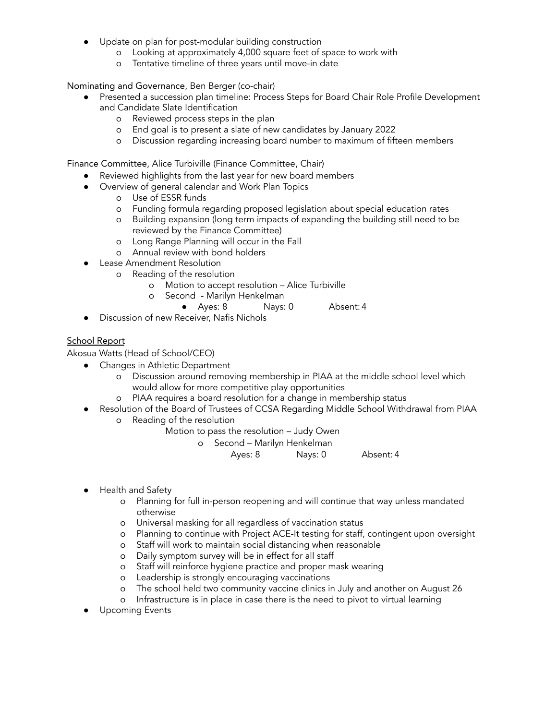- Update on plan for post-modular building construction
	- o Looking at approximately 4,000 square feet of space to work with
	- o Tentative timeline of three years until move-in date

Nominating and Governance, Ben Berger (co-chair)

- Presented a succession plan timeline: Process Steps for Board Chair Role Profile Development and Candidate Slate Identification
	- o Reviewed process steps in the plan
	- o End goal is to present a slate of new candidates by January 2022
	- o Discussion regarding increasing board number to maximum of fifteen members

Finance Committee, Alice Turbiville (Finance Committee, Chair)

- Reviewed highlights from the last year for new board members
- Overview of general calendar and Work Plan Topics
	- o Use of ESSR funds
	- o Funding formula regarding proposed legislation about special education rates
	- o Building expansion (long term impacts of expanding the building still need to be reviewed by the Finance Committee)
	- o Long Range Planning will occur in the Fall
	- o Annual review with bond holders
- **Lease Amendment Resolution** 
	- o Reading of the resolution
		- o Motion to accept resolution Alice Turbiville
		- o Second Marilyn Henkelman
			- Ayes: 8 Nays: 0 Absent: 4
- Discussion of new Receiver, Nafis Nichols

#### School Report

Akosua Watts (Head of School/CEO)

- Changes in Athletic Department
	- o Discussion around removing membership in PIAA at the middle school level which would allow for more competitive play opportunities
	- o PIAA requires a board resolution for a change in membership status
- Resolution of the Board of Trustees of CCSA Regarding Middle School Withdrawal from PIAA o Reading of the resolution
	- Motion to pass the resolution Judy Owen
		- o Second Marilyn Henkelman
			- Ayes: 8 Nays: 0 Absent: 4
- Health and Safety
	- o Planning for full in-person reopening and will continue that way unless mandated otherwise
	- o Universal masking for all regardless of vaccination status
	- o Planning to continue with Project ACE-It testing for staff, contingent upon oversight
	- o Staff will work to maintain social distancing when reasonable
	- o Daily symptom survey will be in effect for all staff
	- o Staff will reinforce hygiene practice and proper mask wearing
	- o Leadership is strongly encouraging vaccinations
	- o The school held two community vaccine clinics in July and another on August 26
	- o Infrastructure is in place in case there is the need to pivot to virtual learning
- Upcoming Events